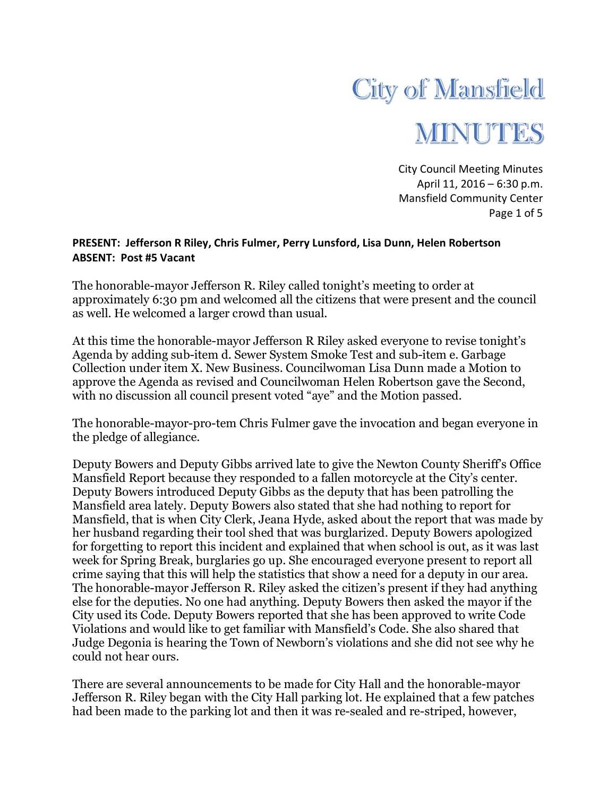

City Council Meeting Minutes April 11, 2016 – 6:30 p.m. Mansfield Community Center Page 1 of 5

## **PRESENT: Jefferson R Riley, Chris Fulmer, Perry Lunsford, Lisa Dunn, Helen Robertson ABSENT: Post #5 Vacant**

The honorable-mayor Jefferson R. Riley called tonight's meeting to order at approximately 6:30 pm and welcomed all the citizens that were present and the council as well. He welcomed a larger crowd than usual.

At this time the honorable-mayor Jefferson R Riley asked everyone to revise tonight's Agenda by adding sub-item d. Sewer System Smoke Test and sub-item e. Garbage Collection under item X. New Business. Councilwoman Lisa Dunn made a Motion to approve the Agenda as revised and Councilwoman Helen Robertson gave the Second, with no discussion all council present voted "aye" and the Motion passed.

The honorable-mayor-pro-tem Chris Fulmer gave the invocation and began everyone in the pledge of allegiance.

Deputy Bowers and Deputy Gibbs arrived late to give the Newton County Sheriff's Office Mansfield Report because they responded to a fallen motorcycle at the City's center. Deputy Bowers introduced Deputy Gibbs as the deputy that has been patrolling the Mansfield area lately. Deputy Bowers also stated that she had nothing to report for Mansfield, that is when City Clerk, Jeana Hyde, asked about the report that was made by her husband regarding their tool shed that was burglarized. Deputy Bowers apologized for forgetting to report this incident and explained that when school is out, as it was last week for Spring Break, burglaries go up. She encouraged everyone present to report all crime saying that this will help the statistics that show a need for a deputy in our area. The honorable-mayor Jefferson R. Riley asked the citizen's present if they had anything else for the deputies. No one had anything. Deputy Bowers then asked the mayor if the City used its Code. Deputy Bowers reported that she has been approved to write Code Violations and would like to get familiar with Mansfield's Code. She also shared that Judge Degonia is hearing the Town of Newborn's violations and she did not see why he could not hear ours.

There are several announcements to be made for City Hall and the honorable-mayor Jefferson R. Riley began with the City Hall parking lot. He explained that a few patches had been made to the parking lot and then it was re-sealed and re-striped, however,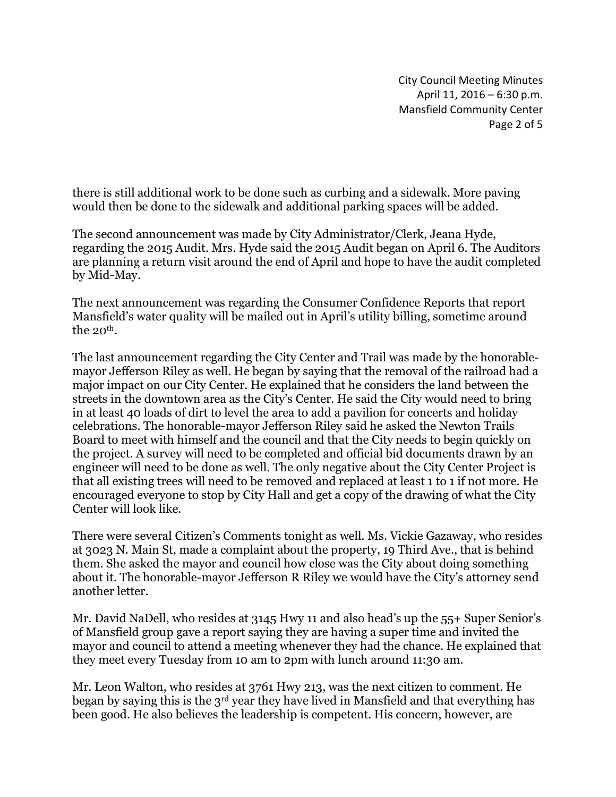City Council Meeting Minutes April 11, 2016 – 6:30 p.m. Mansfield Community Center Page 2 of 5

there is still additional work to be done such as curbing and a sidewalk. More paving would then be done to the sidewalk and additional parking spaces will be added.

The second announcement was made by City Administrator/Clerk, Jeana Hyde, regarding the 2015 Audit. Mrs. Hyde said the 2015 Audit began on April 6. The Auditors are planning a return visit around the end of April and hope to have the audit completed by Mid-May.

The next announcement was regarding the Consumer Confidence Reports that report Mansfield's water quality will be mailed out in April's utility billing, sometime around the  $20^{th}$ .

The last announcement regarding the City Center and Trail was made by the honorablemayor Jefferson Riley as well. He began by saying that the removal of the railroad had a major impact on our City Center. He explained that he considers the land between the streets in the downtown area as the City's Center. He said the City would need to bring in at least 40 loads of dirt to level the area to add a pavilion for concerts and holiday celebrations. The honorable-mayor Jefferson Riley said he asked the Newton Trails Board to meet with himself and the council and that the City needs to begin quickly on the project. A survey will need to be completed and official bid documents drawn by an engineer will need to be done as well. The only negative about the City Center Project is that all existing trees will need to be removed and replaced at least 1 to 1 if not more. He encouraged everyone to stop by City Hall and get a copy of the drawing of what the City Center will look like.

There were several Citizen's Comments tonight as well. Ms. Vickie Gazaway, who resides at 3023 N. Main St, made a complaint about the property, 19 Third Ave., that is behind them. She asked the mayor and council how close was the City about doing something about it. The honorable-mayor Jefferson R Riley we would have the City's attorney send another letter.

Mr. David NaDell, who resides at 3145 Hwy 11 and also head's up the 55+ Super Senior's of Mansfield group gave a report saying they are having a super time and invited the mayor and council to attend a meeting whenever they had the chance. He explained that they meet every Tuesday from 10 am to 2pm with lunch around 11:30 am.

Mr. Leon Walton, who resides at 3761 Hwy 213, was the next citizen to comment. He began by saying this is the 3rd year they have lived in Mansfield and that everything has been good. He also believes the leadership is competent. His concern, however, are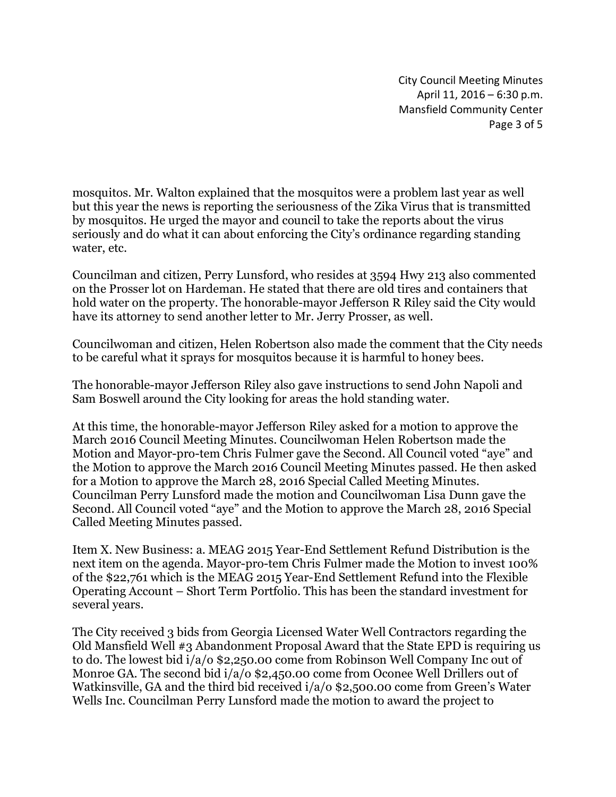City Council Meeting Minutes April 11, 2016 – 6:30 p.m. Mansfield Community Center Page 3 of 5

mosquitos. Mr. Walton explained that the mosquitos were a problem last year as well but this year the news is reporting the seriousness of the Zika Virus that is transmitted by mosquitos. He urged the mayor and council to take the reports about the virus seriously and do what it can about enforcing the City's ordinance regarding standing water, etc.

Councilman and citizen, Perry Lunsford, who resides at 3594 Hwy 213 also commented on the Prosser lot on Hardeman. He stated that there are old tires and containers that hold water on the property. The honorable-mayor Jefferson R Riley said the City would have its attorney to send another letter to Mr. Jerry Prosser, as well.

Councilwoman and citizen, Helen Robertson also made the comment that the City needs to be careful what it sprays for mosquitos because it is harmful to honey bees.

The honorable-mayor Jefferson Riley also gave instructions to send John Napoli and Sam Boswell around the City looking for areas the hold standing water.

At this time, the honorable-mayor Jefferson Riley asked for a motion to approve the March 2016 Council Meeting Minutes. Councilwoman Helen Robertson made the Motion and Mayor-pro-tem Chris Fulmer gave the Second. All Council voted "aye" and the Motion to approve the March 2016 Council Meeting Minutes passed. He then asked for a Motion to approve the March 28, 2016 Special Called Meeting Minutes. Councilman Perry Lunsford made the motion and Councilwoman Lisa Dunn gave the Second. All Council voted "aye" and the Motion to approve the March 28, 2016 Special Called Meeting Minutes passed.

Item X. New Business: a. MEAG 2015 Year-End Settlement Refund Distribution is the next item on the agenda. Mayor-pro-tem Chris Fulmer made the Motion to invest 100% of the \$22,761 which is the MEAG 2015 Year-End Settlement Refund into the Flexible Operating Account – Short Term Portfolio. This has been the standard investment for several years.

The City received 3 bids from Georgia Licensed Water Well Contractors regarding the Old Mansfield Well #3 Abandonment Proposal Award that the State EPD is requiring us to do. The lowest bid i/a/o \$2,250.00 come from Robinson Well Company Inc out of Monroe GA. The second bid  $i/a/o$  \$2,450.00 come from Oconee Well Drillers out of Watkinsville, GA and the third bid received i/a/o \$2,500.00 come from Green's Water Wells Inc. Councilman Perry Lunsford made the motion to award the project to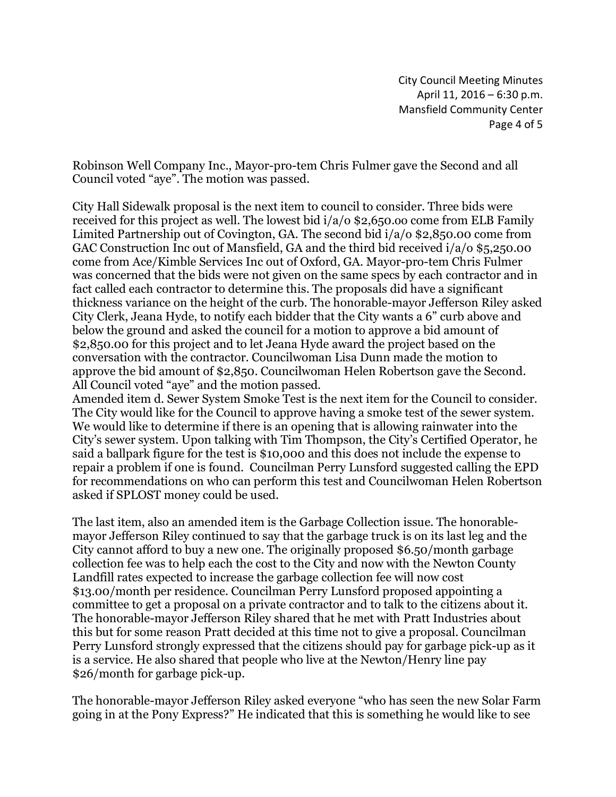City Council Meeting Minutes April 11, 2016 – 6:30 p.m. Mansfield Community Center Page 4 of 5

Robinson Well Company Inc., Mayor-pro-tem Chris Fulmer gave the Second and all Council voted "aye". The motion was passed.

City Hall Sidewalk proposal is the next item to council to consider. Three bids were received for this project as well. The lowest bid i/a/o \$2,650.oo come from ELB Family Limited Partnership out of Covington, GA. The second bid i/a/o \$2,850.00 come from GAC Construction Inc out of Mansfield, GA and the third bid received i/a/o \$5,250.00 come from Ace/Kimble Services Inc out of Oxford, GA. Mayor-pro-tem Chris Fulmer was concerned that the bids were not given on the same specs by each contractor and in fact called each contractor to determine this. The proposals did have a significant thickness variance on the height of the curb. The honorable-mayor Jefferson Riley asked City Clerk, Jeana Hyde, to notify each bidder that the City wants a 6" curb above and below the ground and asked the council for a motion to approve a bid amount of \$2,850.00 for this project and to let Jeana Hyde award the project based on the conversation with the contractor. Councilwoman Lisa Dunn made the motion to approve the bid amount of \$2,850. Councilwoman Helen Robertson gave the Second. All Council voted "aye" and the motion passed.

Amended item d. Sewer System Smoke Test is the next item for the Council to consider. The City would like for the Council to approve having a smoke test of the sewer system. We would like to determine if there is an opening that is allowing rainwater into the City's sewer system. Upon talking with Tim Thompson, the City's Certified Operator, he said a ballpark figure for the test is \$10,000 and this does not include the expense to repair a problem if one is found. Councilman Perry Lunsford suggested calling the EPD for recommendations on who can perform this test and Councilwoman Helen Robertson asked if SPLOST money could be used.

The last item, also an amended item is the Garbage Collection issue. The honorablemayor Jefferson Riley continued to say that the garbage truck is on its last leg and the City cannot afford to buy a new one. The originally proposed \$6.50/month garbage collection fee was to help each the cost to the City and now with the Newton County Landfill rates expected to increase the garbage collection fee will now cost \$13.00/month per residence. Councilman Perry Lunsford proposed appointing a committee to get a proposal on a private contractor and to talk to the citizens about it. The honorable-mayor Jefferson Riley shared that he met with Pratt Industries about this but for some reason Pratt decided at this time not to give a proposal. Councilman Perry Lunsford strongly expressed that the citizens should pay for garbage pick-up as it is a service. He also shared that people who live at the Newton/Henry line pay \$26/month for garbage pick-up.

The honorable-mayor Jefferson Riley asked everyone "who has seen the new Solar Farm going in at the Pony Express?" He indicated that this is something he would like to see